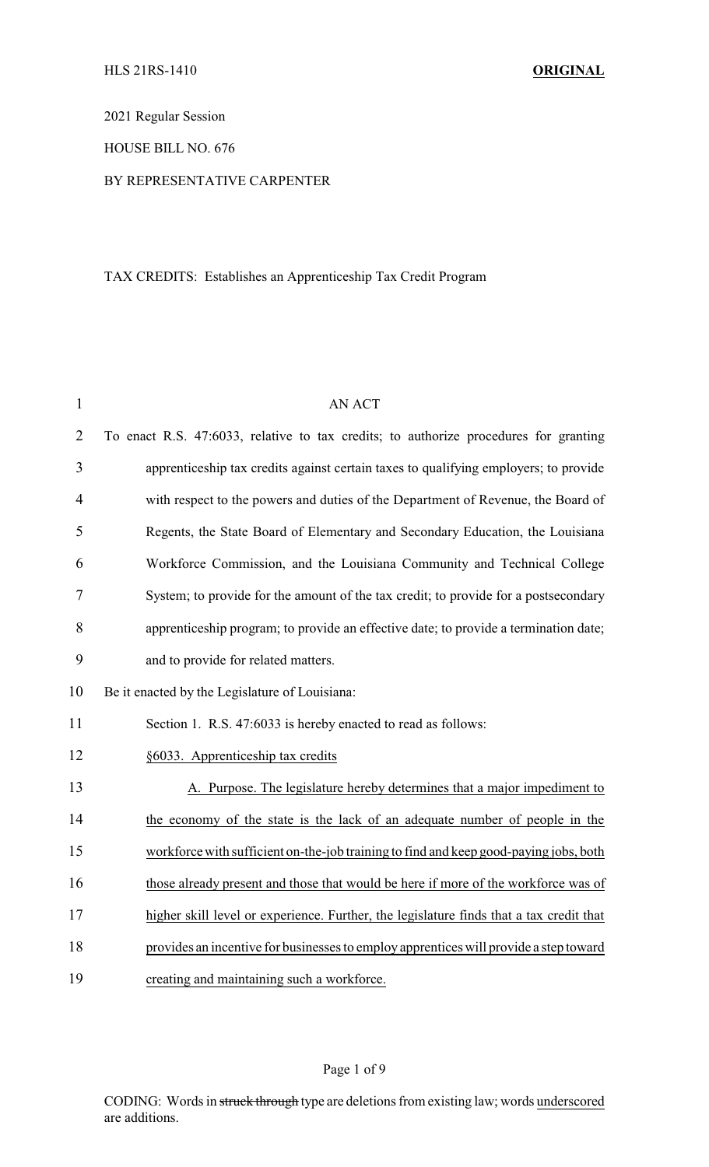2021 Regular Session

## HOUSE BILL NO. 676

### BY REPRESENTATIVE CARPENTER

# TAX CREDITS: Establishes an Apprenticeship Tax Credit Program

| 1              | <b>AN ACT</b>                                                                           |  |  |
|----------------|-----------------------------------------------------------------------------------------|--|--|
| $\overline{2}$ | To enact R.S. 47:6033, relative to tax credits; to authorize procedures for granting    |  |  |
| 3              | apprenticeship tax credits against certain taxes to qualifying employers; to provide    |  |  |
| $\overline{4}$ | with respect to the powers and duties of the Department of Revenue, the Board of        |  |  |
| 5              | Regents, the State Board of Elementary and Secondary Education, the Louisiana           |  |  |
| 6              | Workforce Commission, and the Louisiana Community and Technical College                 |  |  |
| 7              | System; to provide for the amount of the tax credit; to provide for a postsecondary     |  |  |
| 8              | apprenticeship program; to provide an effective date; to provide a termination date;    |  |  |
| 9              | and to provide for related matters.                                                     |  |  |
| 10             | Be it enacted by the Legislature of Louisiana:                                          |  |  |
| 11             | Section 1. R.S. 47:6033 is hereby enacted to read as follows:                           |  |  |
| 12             | §6033. Apprenticeship tax credits                                                       |  |  |
| 13             | A. Purpose. The legislature hereby determines that a major impediment to                |  |  |
| 14             | the economy of the state is the lack of an adequate number of people in the             |  |  |
| 15             | workforce with sufficient on-the-job training to find and keep good-paying jobs, both   |  |  |
| 16             | those already present and those that would be here if more of the workforce was of      |  |  |
| 17             | higher skill level or experience. Further, the legislature finds that a tax credit that |  |  |
| 18             | provides an incentive for businesses to employ apprentices will provide a step toward   |  |  |
| 19             | creating and maintaining such a workforce.                                              |  |  |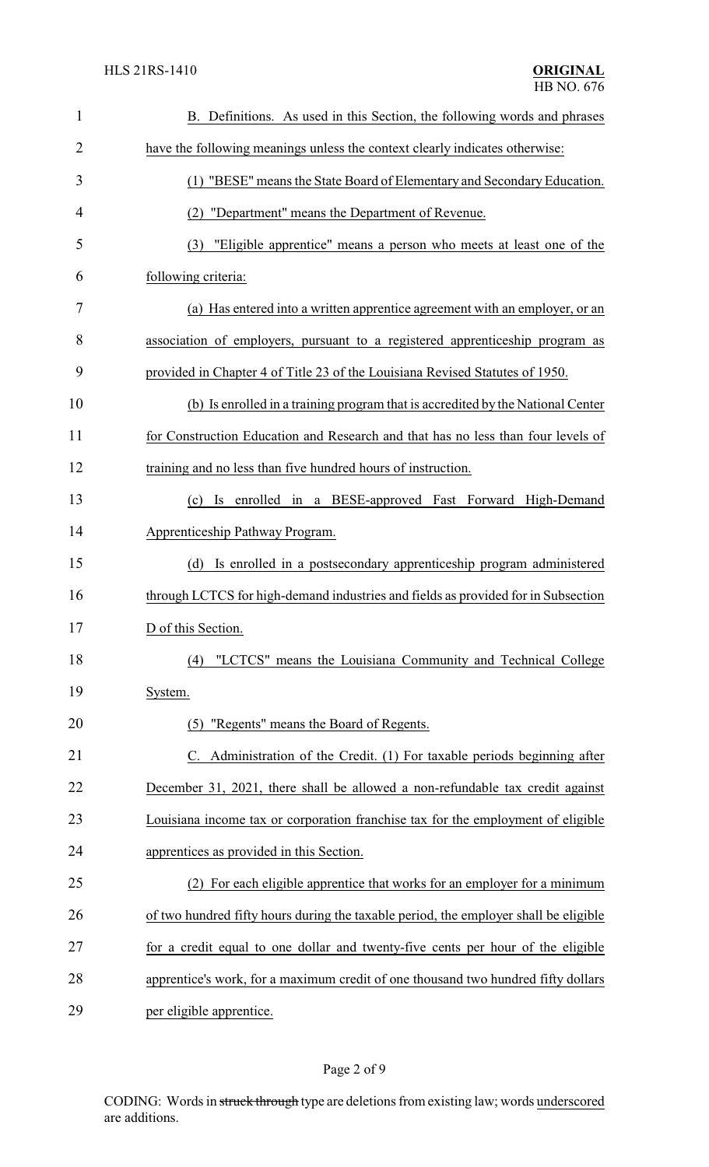| $\mathbf{1}$   | B. Definitions. As used in this Section, the following words and phrases             |  |
|----------------|--------------------------------------------------------------------------------------|--|
| $\overline{2}$ | have the following meanings unless the context clearly indicates otherwise:          |  |
| 3              | (1) "BESE" means the State Board of Elementary and Secondary Education.              |  |
| 4              | (2) "Department" means the Department of Revenue.                                    |  |
| 5              | "Eligible apprentice" means a person who meets at least one of the<br>(3)            |  |
| 6              | following criteria:                                                                  |  |
| 7              | (a) Has entered into a written apprentice agreement with an employer, or an          |  |
| 8              | association of employers, pursuant to a registered apprenticeship program as         |  |
| 9              | provided in Chapter 4 of Title 23 of the Louisiana Revised Statutes of 1950.         |  |
| 10             | (b) Is enrolled in a training program that is accredited by the National Center      |  |
| 11             | for Construction Education and Research and that has no less than four levels of     |  |
| 12             | training and no less than five hundred hours of instruction.                         |  |
| 13             | (c) Is enrolled in a BESE-approved Fast Forward High-Demand                          |  |
| 14             | Apprenticeship Pathway Program.                                                      |  |
| 15             | Is enrolled in a postsecondary apprenticeship program administered<br>(d)            |  |
| 16             | through LCTCS for high-demand industries and fields as provided for in Subsection    |  |
| 17             | D of this Section.                                                                   |  |
| 18             | "LCTCS" means the Louisiana Community and Technical College<br>(4)                   |  |
| 19             | System.                                                                              |  |
| 20             | "Regents" means the Board of Regents.<br>(5)                                         |  |
| 21             | C. Administration of the Credit. (1) For taxable periods beginning after             |  |
| 22             | December 31, 2021, there shall be allowed a non-refundable tax credit against        |  |
| 23             | Louisiana income tax or corporation franchise tax for the employment of eligible     |  |
| 24             | apprentices as provided in this Section.                                             |  |
| 25             | (2) For each eligible apprentice that works for an employer for a minimum            |  |
| 26             | of two hundred fifty hours during the taxable period, the employer shall be eligible |  |
| 27             | for a credit equal to one dollar and twenty-five cents per hour of the eligible      |  |
| 28             | apprentice's work, for a maximum credit of one thousand two hundred fifty dollars    |  |
| 29             | per eligible apprentice.                                                             |  |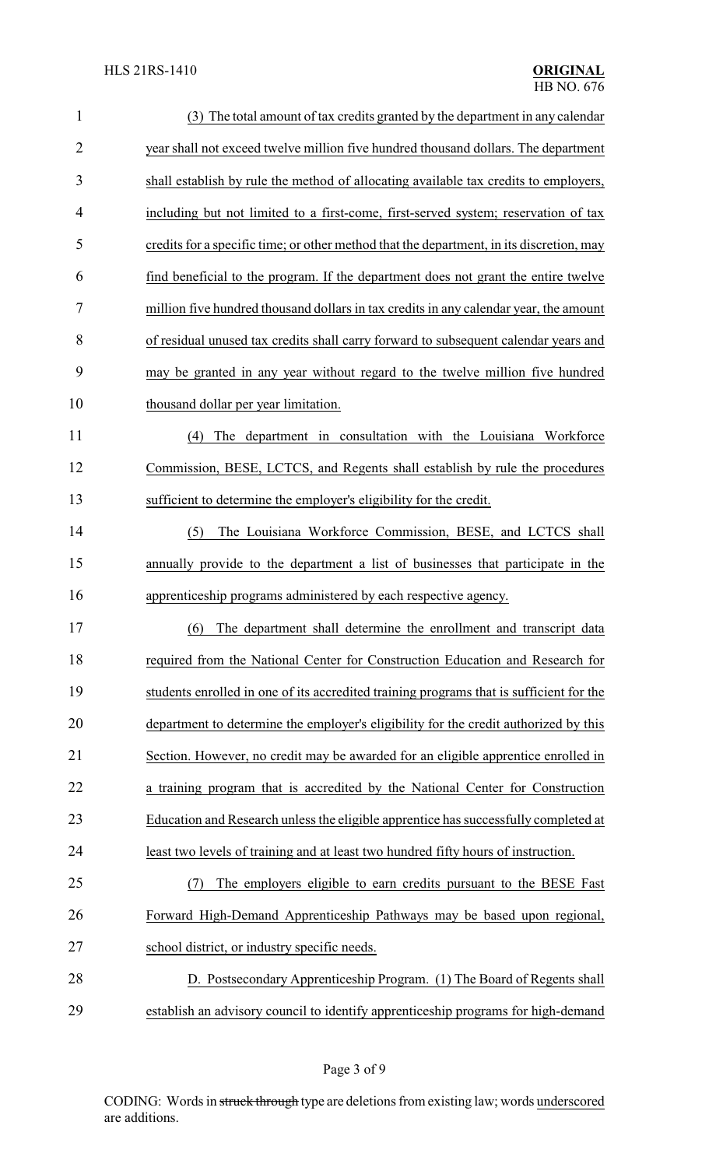| $\mathbf{1}$   | (3) The total amount of tax credits granted by the department in any calendar            |  |
|----------------|------------------------------------------------------------------------------------------|--|
| $\overline{2}$ | year shall not exceed twelve million five hundred thousand dollars. The department       |  |
| 3              | shall establish by rule the method of allocating available tax credits to employers,     |  |
| $\overline{4}$ | including but not limited to a first-come, first-served system; reservation of tax       |  |
| 5              | credits for a specific time; or other method that the department, in its discretion, may |  |
| 6              | find beneficial to the program. If the department does not grant the entire twelve       |  |
| 7              | million five hundred thousand dollars in tax credits in any calendar year, the amount    |  |
| 8              | of residual unused tax credits shall carry forward to subsequent calendar years and      |  |
| 9              | may be granted in any year without regard to the twelve million five hundred             |  |
| 10             | thousand dollar per year limitation.                                                     |  |
| 11             | The department in consultation with the Louisiana Workforce<br>(4)                       |  |
| 12             | Commission, BESE, LCTCS, and Regents shall establish by rule the procedures              |  |
| 13             | sufficient to determine the employer's eligibility for the credit.                       |  |
| 14             | The Louisiana Workforce Commission, BESE, and LCTCS shall<br>(5)                         |  |
| 15             | annually provide to the department a list of businesses that participate in the          |  |
| 16             | apprenticeship programs administered by each respective agency.                          |  |
| 17             | (6) The department shall determine the enrollment and transcript data                    |  |
| 18             | required from the National Center for Construction Education and Research for            |  |
| 19             | students enrolled in one of its accredited training programs that is sufficient for the  |  |
| 20             | department to determine the employer's eligibility for the credit authorized by this     |  |
| 21             | Section. However, no credit may be awarded for an eligible apprentice enrolled in        |  |
| 22             | a training program that is accredited by the National Center for Construction            |  |
| 23             | Education and Research unless the eligible apprentice has successfully completed at      |  |
| 24             | least two levels of training and at least two hundred fifty hours of instruction.        |  |
| 25             | The employers eligible to earn credits pursuant to the BESE Fast<br>(7)                  |  |
| 26             | Forward High-Demand Apprenticeship Pathways may be based upon regional,                  |  |
| 27             | school district, or industry specific needs.                                             |  |
| 28             | D. Postsecondary Apprenticeship Program. (1) The Board of Regents shall                  |  |
| 29             | establish an advisory council to identify apprenticeship programs for high-demand        |  |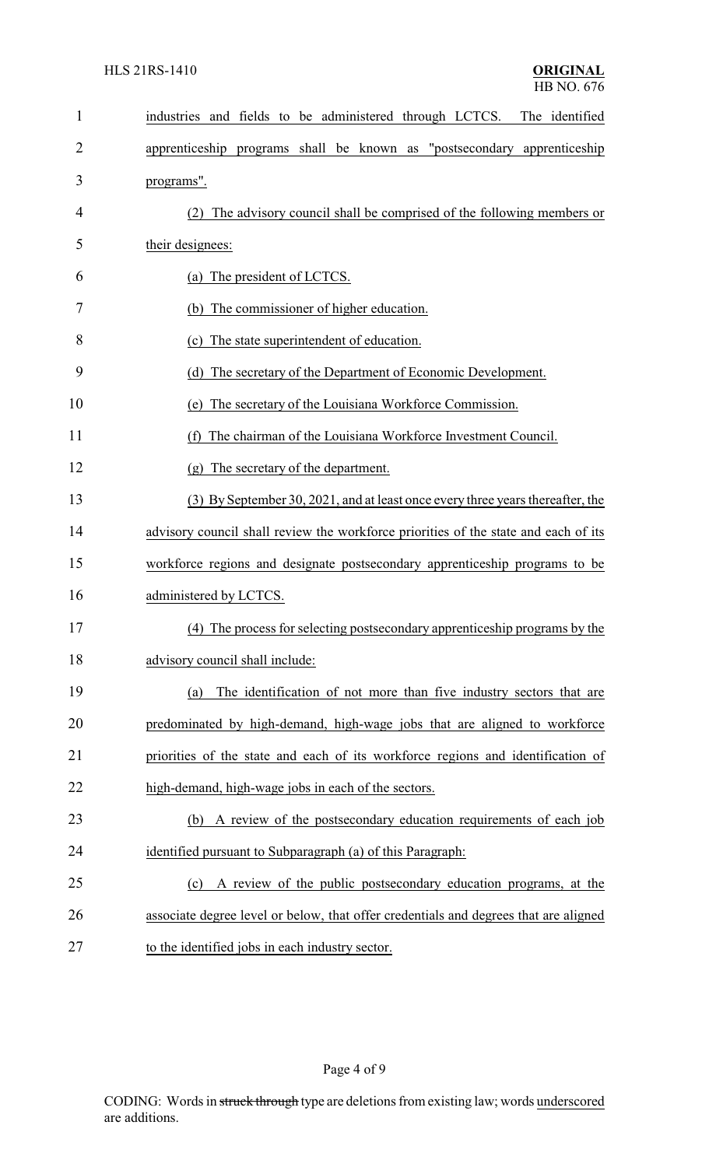| 1  | industries and fields to be administered through LCTCS. The identified               |  |  |
|----|--------------------------------------------------------------------------------------|--|--|
| 2  | apprenticeship programs shall be known as "postsecondary apprenticeship              |  |  |
| 3  | programs".                                                                           |  |  |
| 4  | (2) The advisory council shall be comprised of the following members or              |  |  |
| 5  | their designees:                                                                     |  |  |
| 6  | (a) The president of LCTCS.                                                          |  |  |
| 7  | (b) The commissioner of higher education.                                            |  |  |
| 8  | (c) The state superintendent of education.                                           |  |  |
| 9  | The secretary of the Department of Economic Development.<br>(d)                      |  |  |
| 10 | The secretary of the Louisiana Workforce Commission.<br>(e)                          |  |  |
| 11 | The chairman of the Louisiana Workforce Investment Council.<br>(f)                   |  |  |
| 12 | (g) The secretary of the department.                                                 |  |  |
| 13 | (3) By September 30, 2021, and at least once every three years thereafter, the       |  |  |
| 14 | advisory council shall review the workforce priorities of the state and each of its  |  |  |
| 15 | workforce regions and designate postsecondary apprenticeship programs to be          |  |  |
| 16 | administered by LCTCS.                                                               |  |  |
| 17 | (4) The process for selecting postsecondary apprenticeship programs by the           |  |  |
| 18 | advisory council shall include:                                                      |  |  |
| 19 | The identification of not more than five industry sectors that are<br>(a)            |  |  |
| 20 | predominated by high-demand, high-wage jobs that are aligned to workforce            |  |  |
| 21 | priorities of the state and each of its workforce regions and identification of      |  |  |
| 22 | high-demand, high-wage jobs in each of the sectors.                                  |  |  |
| 23 | (b) A review of the postsecondary education requirements of each job                 |  |  |
| 24 | identified pursuant to Subparagraph (a) of this Paragraph:                           |  |  |
| 25 | A review of the public postsecondary education programs, at the<br>(c)               |  |  |
| 26 | associate degree level or below, that offer credentials and degrees that are aligned |  |  |
| 27 | to the identified jobs in each industry sector.                                      |  |  |

# Page 4 of 9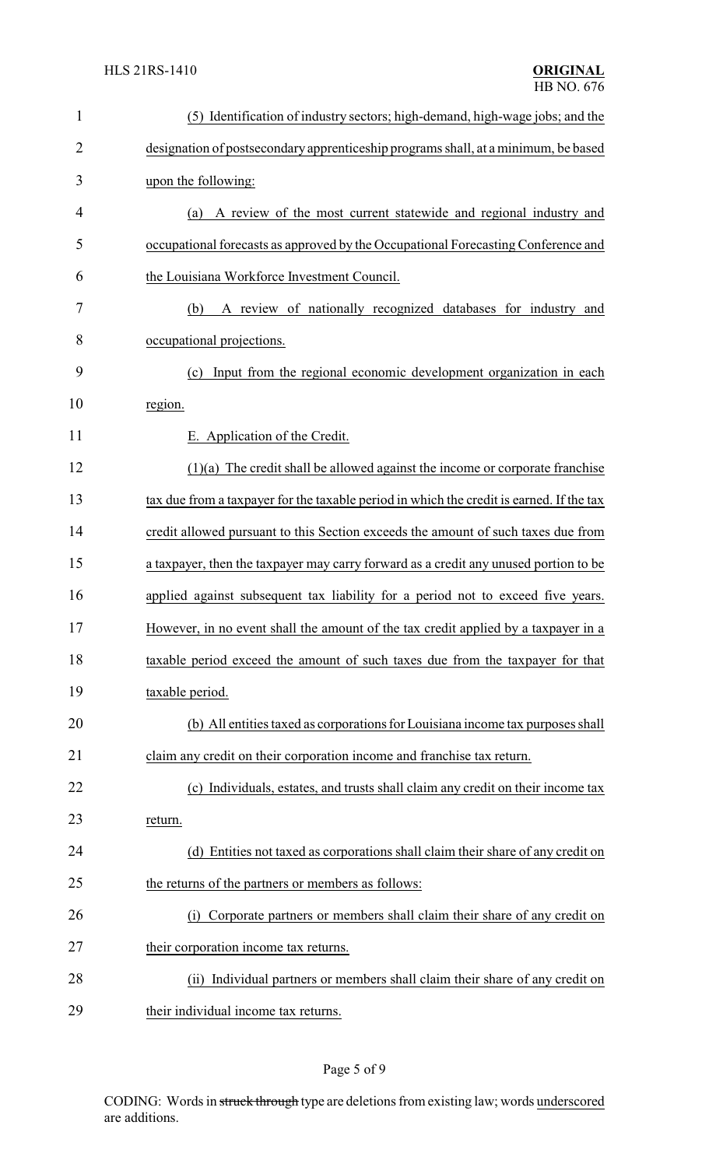| $\mathbf{1}$   | (5) Identification of industry sectors; high-demand, high-wage jobs; and the             |  |  |
|----------------|------------------------------------------------------------------------------------------|--|--|
| $\overline{2}$ | designation of postsecondary apprenticeship programs shall, at a minimum, be based       |  |  |
| 3              | upon the following:                                                                      |  |  |
| 4              | A review of the most current statewide and regional industry and<br>(a)                  |  |  |
| 5              | occupational forecasts as approved by the Occupational Forecasting Conference and        |  |  |
| 6              | the Louisiana Workforce Investment Council.                                              |  |  |
| 7              | A review of nationally recognized databases for industry and<br>(b)                      |  |  |
| 8              | occupational projections.                                                                |  |  |
| 9              | Input from the regional economic development organization in each<br>(c)                 |  |  |
| 10             | region.                                                                                  |  |  |
| 11             | E. Application of the Credit.                                                            |  |  |
| 12             | $(1)(a)$ The credit shall be allowed against the income or corporate franchise           |  |  |
| 13             | tax due from a taxpayer for the taxable period in which the credit is earned. If the tax |  |  |
| 14             | credit allowed pursuant to this Section exceeds the amount of such taxes due from        |  |  |
| 15             | a taxpayer, then the taxpayer may carry forward as a credit any unused portion to be     |  |  |
| 16             | applied against subsequent tax liability for a period not to exceed five years.          |  |  |
| 17             | However, in no event shall the amount of the tax credit applied by a taxpayer in a       |  |  |
| 18             | taxable period exceed the amount of such taxes due from the taxpayer for that            |  |  |
| 19             | taxable period.                                                                          |  |  |
| 20             | (b) All entities taxed as corporations for Louisiana income tax purposes shall           |  |  |
| 21             | claim any credit on their corporation income and franchise tax return.                   |  |  |
| 22             | (c) Individuals, estates, and trusts shall claim any credit on their income tax          |  |  |
| 23             | return.                                                                                  |  |  |
| 24             | (d) Entities not taxed as corporations shall claim their share of any credit on          |  |  |
| 25             | the returns of the partners or members as follows:                                       |  |  |
| 26             | (i) Corporate partners or members shall claim their share of any credit on               |  |  |
| 27             | their corporation income tax returns.                                                    |  |  |
| 28             | (ii) Individual partners or members shall claim their share of any credit on             |  |  |
| 29             | their individual income tax returns.                                                     |  |  |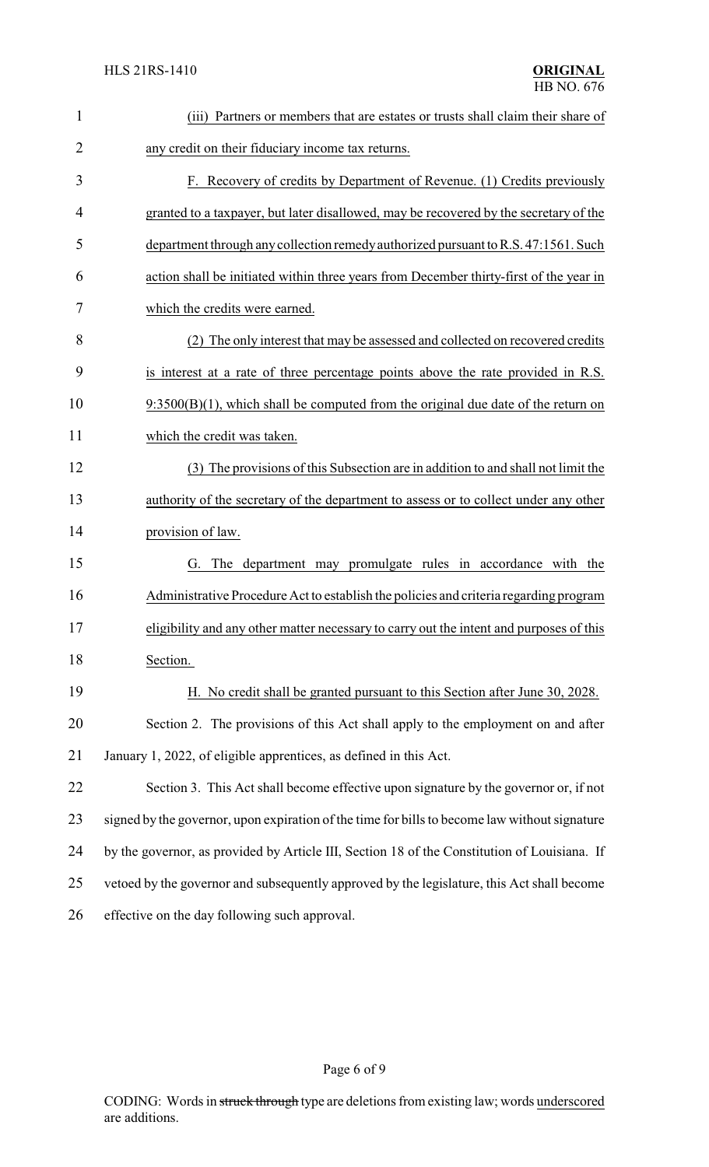| 1              | (iii) Partners or members that are estates or trusts shall claim their share of               |  |
|----------------|-----------------------------------------------------------------------------------------------|--|
| $\overline{2}$ | any credit on their fiduciary income tax returns.                                             |  |
| 3              | F. Recovery of credits by Department of Revenue. (1) Credits previously                       |  |
| 4              | granted to a taxpayer, but later disallowed, may be recovered by the secretary of the         |  |
| 5              | department through any collection remedy authorized pursuant to R.S. 47:1561. Such            |  |
| 6              | action shall be initiated within three years from December thirty-first of the year in        |  |
| 7              | which the credits were earned.                                                                |  |
| 8              | (2) The only interest that may be assessed and collected on recovered credits                 |  |
| 9              | is interest at a rate of three percentage points above the rate provided in R.S.              |  |
| 10             | $9:3500(B)(1)$ , which shall be computed from the original due date of the return on          |  |
| 11             | which the credit was taken.                                                                   |  |
| 12             | (3) The provisions of this Subsection are in addition to and shall not limit the              |  |
| 13             | authority of the secretary of the department to assess or to collect under any other          |  |
| 14             | provision of law.                                                                             |  |
| 15             | G. The department may promulgate rules in accordance with the                                 |  |
| 16             | Administrative Procedure Act to establish the policies and criteria regarding program         |  |
| 17             | eligibility and any other matter necessary to carry out the intent and purposes of this       |  |
| 18             | Section.                                                                                      |  |
| 19             | H. No credit shall be granted pursuant to this Section after June 30, 2028.                   |  |
| 20             | Section 2. The provisions of this Act shall apply to the employment on and after              |  |
| 21             | January 1, 2022, of eligible apprentices, as defined in this Act.                             |  |
| 22             | Section 3. This Act shall become effective upon signature by the governor or, if not          |  |
| 23             | signed by the governor, upon expiration of the time for bills to become law without signature |  |
| 24             | by the governor, as provided by Article III, Section 18 of the Constitution of Louisiana. If  |  |
| 25             | vetoed by the governor and subsequently approved by the legislature, this Act shall become    |  |
| 26             | effective on the day following such approval.                                                 |  |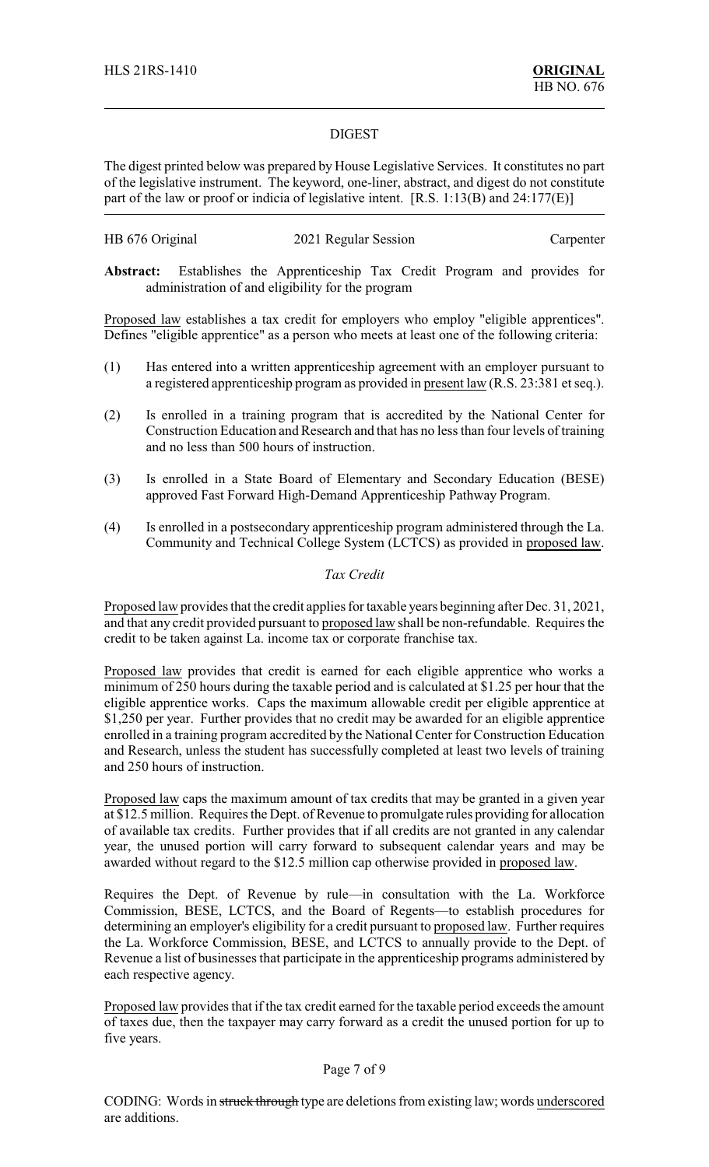#### DIGEST

The digest printed below was prepared by House Legislative Services. It constitutes no part of the legislative instrument. The keyword, one-liner, abstract, and digest do not constitute part of the law or proof or indicia of legislative intent. [R.S. 1:13(B) and 24:177(E)]

| HB 676 Original | 2021 Regular Session | Carpenter |
|-----------------|----------------------|-----------|
|-----------------|----------------------|-----------|

**Abstract:** Establishes the Apprenticeship Tax Credit Program and provides for administration of and eligibility for the program

Proposed law establishes a tax credit for employers who employ "eligible apprentices". Defines "eligible apprentice" as a person who meets at least one of the following criteria:

- (1) Has entered into a written apprenticeship agreement with an employer pursuant to a registered apprenticeship program as provided in present law (R.S. 23:381 et seq.).
- (2) Is enrolled in a training program that is accredited by the National Center for Construction Education and Research and that has no less than four levels of training and no less than 500 hours of instruction.
- (3) Is enrolled in a State Board of Elementary and Secondary Education (BESE) approved Fast Forward High-Demand Apprenticeship Pathway Program.
- (4) Is enrolled in a postsecondary apprenticeship program administered through the La. Community and Technical College System (LCTCS) as provided in proposed law.

#### *Tax Credit*

Proposed law provides that the credit applies for taxable years beginning after Dec. 31, 2021, and that any credit provided pursuant to proposed law shall be non-refundable. Requires the credit to be taken against La. income tax or corporate franchise tax.

Proposed law provides that credit is earned for each eligible apprentice who works a minimum of 250 hours during the taxable period and is calculated at \$1.25 per hour that the eligible apprentice works. Caps the maximum allowable credit per eligible apprentice at \$1,250 per year. Further provides that no credit may be awarded for an eligible apprentice enrolled in a training program accredited by the National Center for Construction Education and Research, unless the student has successfully completed at least two levels of training and 250 hours of instruction.

Proposed law caps the maximum amount of tax credits that may be granted in a given year at \$12.5 million. Requires the Dept. of Revenue to promulgate rules providing for allocation of available tax credits. Further provides that if all credits are not granted in any calendar year, the unused portion will carry forward to subsequent calendar years and may be awarded without regard to the \$12.5 million cap otherwise provided in proposed law.

Requires the Dept. of Revenue by rule—in consultation with the La. Workforce Commission, BESE, LCTCS, and the Board of Regents—to establish procedures for determining an employer's eligibility for a credit pursuant to proposed law. Further requires the La. Workforce Commission, BESE, and LCTCS to annually provide to the Dept. of Revenue a list of businesses that participate in the apprenticeship programs administered by each respective agency.

Proposed law provides that if the tax credit earned for the taxable period exceeds the amount of taxes due, then the taxpayer may carry forward as a credit the unused portion for up to five years.

#### Page 7 of 9

CODING: Words in struck through type are deletions from existing law; words underscored are additions.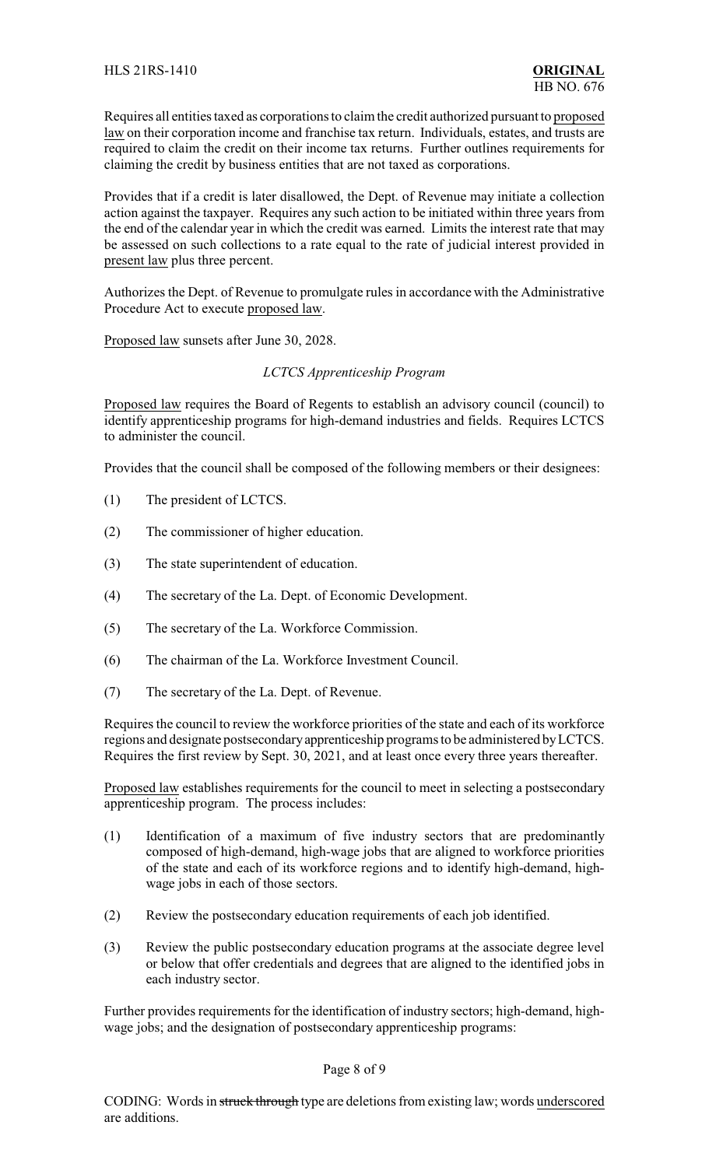Requires all entities taxed as corporations to claim the credit authorized pursuant to proposed law on their corporation income and franchise tax return. Individuals, estates, and trusts are required to claim the credit on their income tax returns. Further outlines requirements for claiming the credit by business entities that are not taxed as corporations.

Provides that if a credit is later disallowed, the Dept. of Revenue may initiate a collection action against the taxpayer. Requires any such action to be initiated within three years from the end of the calendar year in which the credit was earned. Limits the interest rate that may be assessed on such collections to a rate equal to the rate of judicial interest provided in present law plus three percent.

Authorizes the Dept. of Revenue to promulgate rules in accordance with the Administrative Procedure Act to execute proposed law.

Proposed law sunsets after June 30, 2028.

#### *LCTCS Apprenticeship Program*

Proposed law requires the Board of Regents to establish an advisory council (council) to identify apprenticeship programs for high-demand industries and fields. Requires LCTCS to administer the council.

Provides that the council shall be composed of the following members or their designees:

- (1) The president of LCTCS.
- (2) The commissioner of higher education.
- (3) The state superintendent of education.
- (4) The secretary of the La. Dept. of Economic Development.
- (5) The secretary of the La. Workforce Commission.
- (6) The chairman of the La. Workforce Investment Council.
- (7) The secretary of the La. Dept. of Revenue.

Requires the council to review the workforce priorities of the state and each of its workforce regions and designate postsecondaryapprenticeship programs to be administered byLCTCS. Requires the first review by Sept. 30, 2021, and at least once every three years thereafter.

Proposed law establishes requirements for the council to meet in selecting a postsecondary apprenticeship program. The process includes:

- (1) Identification of a maximum of five industry sectors that are predominantly composed of high-demand, high-wage jobs that are aligned to workforce priorities of the state and each of its workforce regions and to identify high-demand, highwage jobs in each of those sectors.
- (2) Review the postsecondary education requirements of each job identified.
- (3) Review the public postsecondary education programs at the associate degree level or below that offer credentials and degrees that are aligned to the identified jobs in each industry sector.

Further provides requirements for the identification of industry sectors; high-demand, highwage jobs; and the designation of postsecondary apprenticeship programs:

#### Page 8 of 9